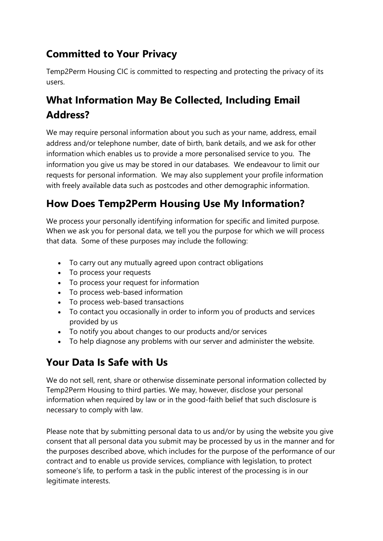### **Committed to Your Privacy**

Temp2Perm Housing CIC is committed to respecting and protecting the privacy of its users.

# **What Information May Be Collected, Including Email Address?**

We may require personal information about you such as your name, address, email address and/or telephone number, date of birth, bank details, and we ask for other information which enables us to provide a more personalised service to you. The information you give us may be stored in our databases. We endeavour to limit our requests for personal information. We may also supplement your profile information with freely available data such as postcodes and other demographic information.

# **How Does Temp2Perm Housing Use My Information?**

We process your personally identifying information for specific and limited purpose. When we ask you for personal data, we tell you the purpose for which we will process that data. Some of these purposes may include the following:

- To carry out any mutually agreed upon contract obligations
- To process your requests
- To process your request for information
- To process web-based information
- To process web-based transactions
- To contact you occasionally in order to inform you of products and services provided by us
- To notify you about changes to our products and/or services
- To help diagnose any problems with our server and administer the website.

# **Your Data Is Safe with Us**

We do not sell, rent, share or otherwise disseminate personal information collected by Temp2Perm Housing to third parties. We may, however, disclose your personal information when required by law or in the good-faith belief that such disclosure is necessary to comply with law.

Please note that by submitting personal data to us and/or by using the website you give consent that all personal data you submit may be processed by us in the manner and for the purposes described above, which includes for the purpose of the performance of our contract and to enable us provide services, compliance with legislation, to protect someone's life, to perform a task in the public interest of the processing is in our legitimate interests.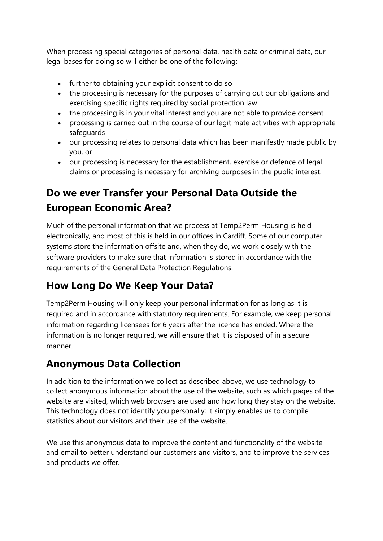When processing special categories of personal data, health data or criminal data, our legal bases for doing so will either be one of the following:

- further to obtaining your explicit consent to do so
- the processing is necessary for the purposes of carrying out our obligations and exercising specific rights required by social protection law
- the processing is in your vital interest and you are not able to provide consent
- processing is carried out in the course of our legitimate activities with appropriate safeguards
- our processing relates to personal data which has been manifestly made public by you, or
- our processing is necessary for the establishment, exercise or defence of legal claims or processing is necessary for archiving purposes in the public interest.

# **Do we ever Transfer your Personal Data Outside the European Economic Area?**

Much of the personal information that we process at Temp2Perm Housing is held electronically, and most of this is held in our offices in Cardiff. Some of our computer systems store the information offsite and, when they do, we work closely with the software providers to make sure that information is stored in accordance with the requirements of the General Data Protection Regulations.

### **How Long Do We Keep Your Data?**

Temp2Perm Housing will only keep your personal information for as long as it is required and in accordance with statutory requirements. For example, we keep personal information regarding licensees for 6 years after the licence has ended. Where the information is no longer required, we will ensure that it is disposed of in a secure manner.

#### **Anonymous Data Collection**

In addition to the information we collect as described above, we use technology to collect anonymous information about the use of the website, such as which pages of the website are visited, which web browsers are used and how long they stay on the website. This technology does not identify you personally; it simply enables us to compile statistics about our visitors and their use of the website.

We use this anonymous data to improve the content and functionality of the website and email to better understand our customers and visitors, and to improve the services and products we offer.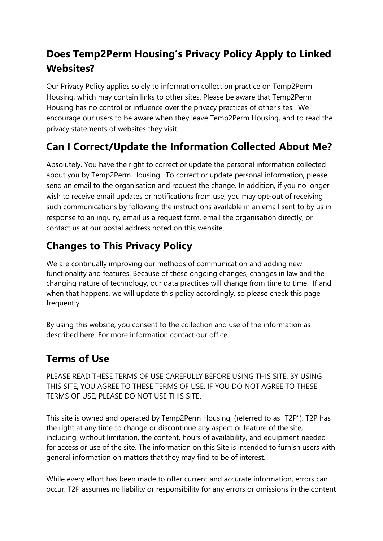# **Does Temp2Perm Housing's Privacy Policy Apply to Linked Websites?**

Our Privacy Policy applies solely to information collection practice on Temp2Perm Housing, which may contain links to other sites. Please be aware that Temp2Perm Housing has no control or influence over the privacy practices of other sites. We encourage our users to be aware when they leave Temp2Perm Housing, and to read the privacy statements of websites they visit.

### **Can I Correct/Update the Information Collected About Me?**

Absolutely. You have the right to correct or update the personal information collected about you by Temp2Perm Housing. To correct or update personal information, please send an email to the organisation and request the change. In addition, if you no longer wish to receive email updates or notifications from use, you may opt-out of receiving such communications by following the instructions available in an email sent to by us in response to an inquiry, email us a request form, email the organisation directly, or contact us at our postal address noted on this website.

# **Changes to This Privacy Policy**

We are continually improving our methods of communication and adding new functionality and features. Because of these ongoing changes, changes in law and the changing nature of technology, our data practices will change from time to time. If and when that happens, we will update this policy accordingly, so please check this page frequently.

By using this website, you consent to the collection and use of the information as described here. For more information contact our office.

# **Terms of Use**

PLEASE READ THESE TERMS OF USE CAREFULLY BEFORE USING THIS SITE. BY USING THIS SITE, YOU AGREE TO THESE TERMS OF USE. IF YOU DO NOT AGREE TO THESE TERMS OF USE, PLEASE DO NOT USE THIS SITE.

This site is owned and operated by Temp2Perm Housing, (referred to as "T2P"). T2P has the right at any time to change or discontinue any aspect or feature of the site, including, without limitation, the content, hours of availability, and equipment needed for access or use of the site. The information on this Site is intended to furnish users with general information on matters that they may find to be of interest.

While every effort has been made to offer current and accurate information, errors can occur. T2P assumes no liability or responsibility for any errors or omissions in the content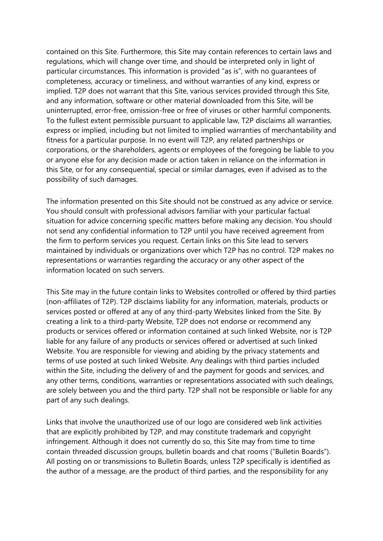contained on this Site. Furthermore, this Site may contain references to certain laws and regulations, which will change over time, and should be interpreted only in light of particular circumstances. This information is provided "as is", with no guarantees of completeness, accuracy or timeliness, and without warranties of any kind, express or implied. T2P does not warrant that this Site, various services provided through this Site, and any information, software or other material downloaded from this Site, will be uninterrupted, error-free, omission-free or free of viruses or other harmful components. To the fullest extent permissible pursuant to applicable law, T2P disclaims all warranties, express or implied, including but not limited to implied warranties of merchantability and fitness for a particular purpose. In no event will T2P, any related partnerships or corporations, or the shareholders, agents or employees of the foregoing be liable to you or anyone else for any decision made or action taken in reliance on the information in this Site, or for any consequential, special or similar damages, even if advised as to the possibility of such damages.

The information presented on this Site should not be construed as any advice or service. You should consult with professional advisors familiar with your particular factual situation for advice concerning specific matters before making any decision. You should not send any confidential information to T2P until you have received agreement from the firm to perform services you request. Certain links on this Site lead to servers maintained by individuals or organizations over which T2P has no control. T2P makes no representations or warranties regarding the accuracy or any other aspect of the information located on such servers.

This Site may in the future contain links to Websites controlled or offered by third parties (non-affiliates of T2P). T2P disclaims liability for any information, materials, products or services posted or offered at any of any third-party Websites linked from the Site. By creating a link to a third-party Website, T2P does not endorse or recommend any products or services offered or information contained at such linked Website, nor is T2P liable for any failure of any products or services offered or advertised at such linked Website. You are responsible for viewing and abiding by the privacy statements and terms of use posted at such linked Website. Any dealings with third parties included within the Site, including the delivery of and the payment for goods and services, and any other terms, conditions, warranties or representations associated with such dealings, are solely between you and the third party. T2P shall not be responsible or liable for any part of any such dealings.

Links that involve the unauthorized use of our logo are considered web link activities that are explicitly prohibited by T2P, and may constitute trademark and copyright infringement. Although it does not currently do so, this Site may from time to time contain threaded discussion groups, bulletin boards and chat rooms ("Bulletin Boards"). All posting on or transmissions to Bulletin Boards, unless T2P specifically is identified as the author of a message, are the product of third parties, and the responsibility for any